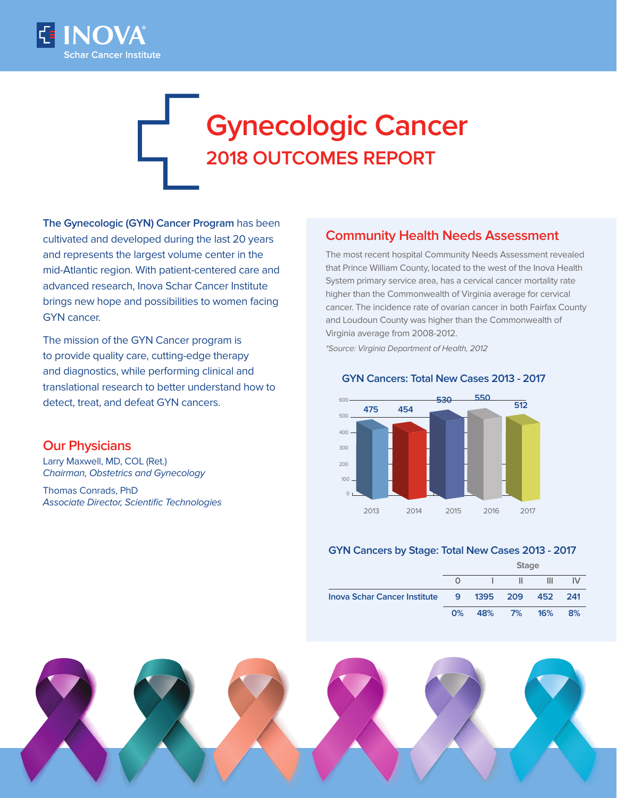

# **Gynecologic Cancer 2018 OUTCOMES REPORT**

**The Gynecologic (GYN) Cancer Program** has been cultivated and developed during the last 20 years and represents the largest volume center in the mid-Atlantic region. With patient-centered care and advanced research, Inova Schar Cancer Institute brings new hope and possibilities to women facing GYN cancer.

The mission of the GYN Cancer program is to provide quality care, cutting-edge therapy and diagnostics, while performing clinical and translational research to better understand how to detect, treat, and defeat GYN cancers.

## **Our Physicians**

Larry Maxwell, MD, COL (Ret.) Chairman, Obstetrics and Gynecology

Thomas Conrads, PhD Associate Director, Scientific Technologies

## **Community Health Needs Assessment**

The most recent hospital Community Needs Assessment revealed that Prince William County, located to the west of the Inova Health System primary service area, has a cervical cancer mortality rate higher than the Commonwealth of Virginia average for cervical cancer. The incidence rate of ovarian cancer in both Fairfax County and Loudoun County was higher than the Commonwealth of Virginia average from 2008-2012.

\*Source: Virginia Department of Health, 2012

#### 2013 2014 2015 2016 2017 500 600 400 300 200 100  $0<sub>1</sub>$ **475 454 530 550 512**

#### **GYN Cancers: Total New Cases 2013 - 2017**

#### **GYN Cancers by Stage: Total New Cases 2013 - 2017**

|                                       | <b>Stage</b> |                  |            |   |    |
|---------------------------------------|--------------|------------------|------------|---|----|
|                                       |              |                  | Ш          | ш |    |
| <b>Inova Schar Cancer Institute</b> 9 |              | 1395 209 452 241 |            |   |    |
|                                       | $0\%$        |                  | 48% 7% 16% |   | 8% |